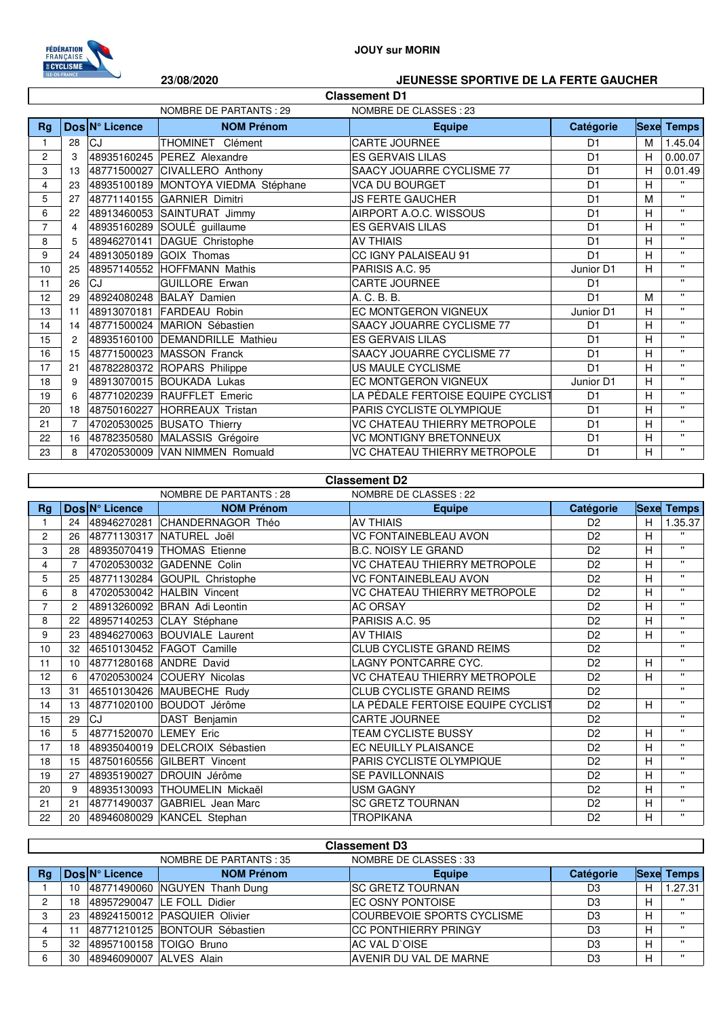

## **JOUY sur MORIN**

## **23/08/2020 JEUNESSE SPORTIVE DE LA FERTE GAUCHER**

| <b>Classement D1</b> |                                                  |                |                                     |                                   |                |   |                   |
|----------------------|--------------------------------------------------|----------------|-------------------------------------|-----------------------------------|----------------|---|-------------------|
|                      | NOMBRE DE PARTANTS: 29<br>NOMBRE DE CLASSES : 23 |                |                                     |                                   |                |   |                   |
| Rg                   |                                                  | Dos N° Licence | <b>NOM Prénom</b>                   | <b>Equipe</b>                     | Catégorie      |   | <b>Sexe Temps</b> |
|                      | 28                                               | CJ             | THOMINET Clément                    | CARTE JOURNEE                     | D <sub>1</sub> | M | 1.45.04           |
| $\mathbf{2}$         | 3                                                | 48935160245    | <b>PEREZ</b> Alexandre              | <b>ES GERVAIS LILAS</b>           | D <sub>1</sub> | H | 0.00.07           |
| 3                    | 13                                               |                | 48771500027 CIVALLERO Anthony       | SAACY JOUARRE CYCLISME 77         | D <sub>1</sub> | Н | 0.01.49           |
| 4                    | 23                                               |                | 48935100189 MONTOYA VIEDMA Stéphane | <b>VCA DU BOURGET</b>             | D <sub>1</sub> | H | $\mathbf{u}$      |
| 5                    | 27                                               |                | 48771140155 GARNIER Dimitri         | <b>JS FERTE GAUCHER</b>           | D <sub>1</sub> | M | $\mathbf{u}$      |
| 6                    | 22                                               |                | 48913460053 SAINTURAT Jimmy         | AIRPORT A.O.C. WISSOUS            | D <sub>1</sub> | н | $\mathbf{u}$      |
| 7                    | 4                                                | 48935160289    | SOULÉ guillaume                     | <b>ES GERVAIS LILAS</b>           | D <sub>1</sub> | Н | $\mathbf{H}$      |
| 8                    | 5                                                | 48946270141    | DAGUE Christophe                    | <b>AV THIAIS</b>                  | D <sub>1</sub> | H | $\mathbf{u}$      |
| 9                    | 24                                               |                | 48913050189 GOIX Thomas             | CC IGNY PALAISEAU 91              | D <sub>1</sub> | H | $\mathbf{u}$      |
| 10                   | 25                                               |                | 48957140552 HOFFMANN Mathis         | PARISIS A.C. 95                   | Junior D1      | H | $\mathbf{u}$      |
| 11                   | 26                                               | CJ             | <b>GUILLORE Erwan</b>               | CARTE JOURNEE                     | D <sub>1</sub> |   | $\mathbf{u}$      |
| 12                   | 29                                               | 48924080248    | BALAY Damien                        | A. C. B. B.                       | D <sub>1</sub> | M | $\mathbf{H}$      |
| 13                   | 11                                               |                | 48913070181 FARDEAU Robin           | EC MONTGERON VIGNEUX              | Junior D1      | н | $\mathbf{u}$      |
| 14                   | 14                                               |                | 48771500024 MARION Sébastien        | SAACY JOUARRE CYCLISME 77         | D <sub>1</sub> | H | $\mathbf{u}$      |
| 15                   | 2                                                |                | 48935160100 DEMANDRILLE Mathieu     | <b>ES GERVAIS LILAS</b>           | D <sub>1</sub> | H | $\mathbf{u}$      |
| 16                   | 15                                               |                | 48771500023 MASSON Franck           | SAACY JOUARRE CYCLISME 77         | D <sub>1</sub> | Н | $\mathbf{u}$      |
| 17                   | 21                                               |                | 48782280372 ROPARS Philippe         | US MAULE CYCLISME                 | D <sub>1</sub> | H | $\mathbf{H}$      |
| 18                   | 9                                                |                | 48913070015 BOUKADA Lukas           | EC MONTGERON VIGNEUX              | Junior D1      | H | $\mathbf{H}$      |
| 19                   | 6                                                | 48771020239    | <b>RAUFFLET</b> Emeric              | LA PÉDALE FERTOISE EQUIPE CYCLIST | D <sub>1</sub> | H | $\mathbf{u}$      |
| 20                   | 18                                               |                | 48750160227 HORREAUX Tristan        | PARIS CYCLISTE OLYMPIQUE          | D <sub>1</sub> | H | $\mathbf{u}$      |
| 21                   | 7                                                |                | 47020530025 BUSATO Thierry          | VC CHATEAU THIERRY METROPOLE      | D <sub>1</sub> | н | $\mathbf{u}$      |
| 22                   | 16                                               |                | 48782350580 MALASSIS Grégoire       | <b>VC MONTIGNY BRETONNEUX</b>     | D <sub>1</sub> | Н | $\mathbf{H}$      |
| 23                   | 8                                                |                | 47020530009 VAN NIMMEN Romuald      | VC CHATEAU THIERRY METROPOLE      | D <sub>1</sub> | Н | $\mathbf{u}$      |

| <b>Classement D2</b> |                                                   |                                     |                                |                                   |                |             |              |  |
|----------------------|---------------------------------------------------|-------------------------------------|--------------------------------|-----------------------------------|----------------|-------------|--------------|--|
|                      | NOMBRE DE CLASSES : 22<br>NOMBRE DE PARTANTS : 28 |                                     |                                |                                   |                |             |              |  |
| <b>Rg</b>            |                                                   | $\text{Dos}\vert N^{\circ}$ Licence | <b>NOM Prénom</b>              | <b>Equipe</b>                     | Catégorie      | <b>Sexe</b> | <b>Temps</b> |  |
|                      | 24                                                |                                     | 48946270281 CHANDERNAGOR Théo  | <b>AV THIAIS</b>                  | D <sub>2</sub> | H           | 1.35.37      |  |
| 2                    | 26                                                |                                     | 48771130317 NATUREL Joël       | <b>VC FONTAINEBLEAU AVON</b>      | D <sub>2</sub> | Н           | $\mathbf{H}$ |  |
| 3                    | 28                                                |                                     | 48935070419 THOMAS Etienne     | <b>B.C. NOISY LE GRAND</b>        | D <sub>2</sub> | Н           | $\mathbf{u}$ |  |
| 4                    | $\overline{7}$                                    |                                     | 47020530032 GADENNE Colin      | VC CHATEAU THIERRY METROPOLE      | D <sub>2</sub> | Н           | $\mathbf{u}$ |  |
| 5                    | 25                                                |                                     | 48771130284 GOUPIL Christophe  | <b>VC FONTAINEBLEAU AVON</b>      | D <sub>2</sub> | H           | $\mathbf{u}$ |  |
| 6                    | 8                                                 |                                     | 47020530042 HALBIN Vincent     | VC CHATEAU THIERRY METROPOLE      | D <sub>2</sub> | H           | $\mathbf{H}$ |  |
| 7                    | $\overline{c}$                                    |                                     | 48913260092 BRAN Adi Leontin   | <b>AC ORSAY</b>                   | D <sub>2</sub> | Н           | $\mathbf{H}$ |  |
| 8                    | 22                                                |                                     | 48957140253 CLAY Stéphane      | PARISIS A.C. 95                   | D <sub>2</sub> | Н           | $\mathbf{H}$ |  |
| 9                    | 23                                                |                                     | 48946270063 BOUVIALE Laurent   | <b>AV THIAIS</b>                  | D <sub>2</sub> | Н           | $\mathbf{H}$ |  |
| 10                   | 32                                                |                                     | 46510130452 FAGOT Camille      | CLUB CYCLISTE GRAND REIMS         | D <sub>2</sub> |             | $\mathbf{H}$ |  |
| 11                   | 10                                                |                                     | 48771280168 ANDRE David        | LAGNY PONTCARRE CYC.              | D <sub>2</sub> | H           | $\mathbf{H}$ |  |
| 12                   | 6                                                 |                                     | 47020530024 COUERY Nicolas     | VC CHATEAU THIERRY METROPOLE      | D <sub>2</sub> | Н           | $\mathbf{H}$ |  |
| 13                   | 31                                                |                                     | 46510130426 MAUBECHE Rudy      | <b>CLUB CYCLISTE GRAND REIMS</b>  | D <sub>2</sub> |             | $\mathbf{H}$ |  |
| 14                   | 13                                                |                                     | 48771020100 BOUDOT Jérôme      | LA PÉDALE FERTOISE EQUIPE CYCLIST | D <sub>2</sub> | Н           | $\mathbf{H}$ |  |
| 15                   | 29                                                | CJ                                  | DAST Benjamin                  | <b>CARTE JOURNEE</b>              | D <sub>2</sub> |             | $\mathbf{H}$ |  |
| 16                   | 5                                                 | 48771520070 LEMEY Eric              |                                | <b>TEAM CYCLISTE BUSSY</b>        | D <sub>2</sub> | Н           | $\mathbf{H}$ |  |
| 17                   | 18                                                |                                     | 48935040019 DELCROIX Sébastien | EC NEUILLY PLAISANCE              | D <sub>2</sub> | H           | $\mathbf{H}$ |  |
| 18                   | 15                                                |                                     | 48750160556 GILBERT Vincent    | PARIS CYCLISTE OLYMPIQUE          | D <sub>2</sub> | H           | $\mathbf{H}$ |  |
| 19                   | 27                                                |                                     | 48935190027 DROUIN Jérôme      | <b>SE PAVILLONNAIS</b>            | D <sub>2</sub> | H           | $\mathbf{H}$ |  |
| 20                   | 9                                                 |                                     | 48935130093 THOUMELIN Mickaël  | <b>USM GAGNY</b>                  | D <sub>2</sub> | Н           | $\mathbf{H}$ |  |
| 21                   | 21                                                |                                     | 48771490037 GABRIEL Jean Marc  | <b>SC GRETZ TOURNAN</b>           | D <sub>2</sub> | H           | $\mathbf{H}$ |  |
| 22                   | 20                                                |                                     | 48946080029 KANCEL Stephan     | <b>TROPIKANA</b>                  | D <sub>2</sub> | Н           | $\mathbf{H}$ |  |

| <b>Classement D3</b> |                                                   |                         |                               |                               |           |   |                   |
|----------------------|---------------------------------------------------|-------------------------|-------------------------------|-------------------------------|-----------|---|-------------------|
|                      | NOMBRE DE CLASSES : 33<br>NOMBRE DE PARTANTS : 35 |                         |                               |                               |           |   |                   |
| Rq                   |                                                   | Dos N° Licence          | <b>NOM Prénom</b>             | <b>Equipe</b>                 | Catégorie |   | <b>Sexe Temps</b> |
|                      | 10                                                |                         | 48771490060 NGUYEN Thanh Dung | <b>ISC GRETZ TOURNAN</b>      | D3        | Н | 1.27.31           |
|                      | 18                                                |                         | 48957290047 LE FOLL Didier    | <b>EC OSNY PONTOISE</b>       | D3        | Н | $\mathbf{H}$      |
|                      | 23                                                |                         | 48924150012 PASQUIER Olivier  | COURBEVOIE SPORTS CYCLISME    | D3        | H | $\mathbf{H}$      |
|                      |                                                   |                         | 48771210125 BONTOUR Sébastien | <b>CC PONTHIERRY PRINGY</b>   | D3        | H | $\mathbf{H}$      |
| 5                    | 32                                                |                         | 48957100158 TOIGO Bruno       | AC VAL D'OISE                 | D3        | Н | $\mathbf{H}$      |
| 6                    | 30                                                | 48946090007 ALVES Alain |                               | <b>AVENIR DU VAL DE MARNE</b> | D3        | Н | $\mathbf{u}$      |